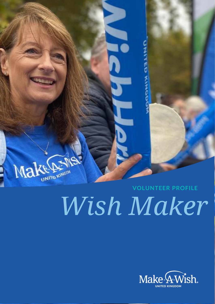

# *Wish Maker*

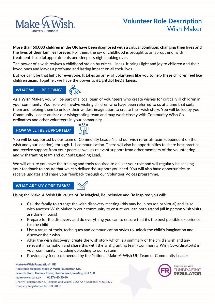

**More than 60,000 children in the UK have been diagnosed with a critical condition, changing their lives and the lives of their families forever.** For them, the joy of childhood is brought to an abrupt end, with treatment, hospital appointments and sleepless nights taking over.

The power of a wish revives a childhood stolen by critical illness. It brings light and joy to children and their loved ones and leaves a profound and lasting impact on all their lives.

But we can't be that light for everyone. It takes an army of volunteers like you to help these children feel like children again. Together, we have the power to **#LightUpTheDarkness.**

# **WHAT WILL I BE DOING?**



As a **Wish Maker**, you will be part of a local team of volunteers who create wishes for critically ill children in your community. Your role will involve visiting children who have been referred to us at a time that suits them and helping them to unlock their wildest imagination to create their wish story. You will be led by your Community Leader and/or our wishgranting team and may work closely with Community Wish Coordinators and other volunteers in your community.

# **HOW WILL I BE SUPPORTED?**



You will be supported by our team of Community Leader's and our wish referrals team (dependent on the wish and your location), through 1-1 communication. There will also be opportunities to share best practice and receive support from your peers as well as relevant support from other members of the volunteering and wishgranting team and our Safeguarding Lead.

We will ensure you have the training and tools required to deliver your role and will regularly be seeking your feedback to ensure that we can deliver the support you need. You will also have opportunities to receive updates and share your feedback through our Volunteer Voices programme.

# **WHAT ARE MY CORE TASKS?**

Using the Make-A-Wish UK values of **Be Magical**, **Be Inclusive** and **Be Inspired** you will:

- Call the family to arrange the wish discovery meeting (this may be in person or virtual) and liaise with another Wish Maker in your community to ensure you can both attend (all in person wish visits are done in pairs)
- Prepare for the discovery and do everything you can to ensure that it's the best possible experience for the child
- Use a range of tools, techniques and communication styles to unlock the child's imagination and discover their wish
- After the wish discovery, create the wish story which is a summary of the child's wish and any relevant information and share this with the wishgranting team/Community Wish Co-ordinator(s) in your community, including uploading to our system
- Provide any feedback needed by the National Make-A-Wish UK Team or Community Leader

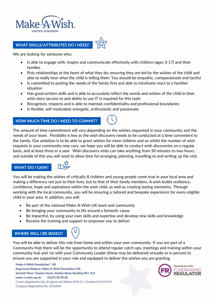

## **WHAT SKILLS/ATTRIBUTES DO I NEED?**



- Is able to engage with, inspire and communicate effectively with children (ages 3-17) and their families
- Puts relationships at the heart of what they do; ensuring they are led by the wishes of the child and able to really hear what the child is telling them. You should be empathic, compassionate and tactful
- Is committed to putting the needs of the family first and able to intuitively react to a families' situation
- Has good written skills and is able to accurately reflect the words and wishes of the child in their wish story (access to and ability to use IT is required for this task)
- Recognises, respects and is able to maintain confidentiality and professional boundaries
- Is flexible, self-motivated, energetic, enthusiastic and passionate

#### **HOW MUCH TIME DO I NEED TO COMMIT?**



The amount of time commitment will vary depending on the wishes requested in your community and the needs of your team. Flexibility is key as the wish discovery needs to be conducted at a time convenient to the family. Our ambition is to be able to grant wishes for more children and so whilst the number of wish requests in your community may vary, we hope you will be able to conduct wish discoveries on a regular basis, and at least three in a year. Wish discovery visits can take anything from 30 minutes to two hours, and outside of this you will need to allow time for arranging, planning, travelling to and writing up the visit.

#### **WHAT DO I GAIN?**



You will be making the wishes of critically ill children and young people come true in your local area and making a difference not just to their lives, but to that of their family members. A wish builds resilience, confidence, hope and aspirations within the wish child, as well as creating lasting memories. Through working with the local community, you will be ensuring a tailored and bespoke experience for every eligible child in your area. In addition, you will:

- Be part of the national Make-A-Wish UK team and community
- Be bringing your community to life around a fantastic cause
- Be impactful, by using your own skills and expertise and develop new skills and knowledge
- Receive the training and support to empower you to deliver

### **WHERE WILL I BE BASED?**

You will be able to deliver this role from home and within your own community. If you are part of a Community Hub there will be the opportunity to attend regular catch-ups, meetings and training within your community hub and /or with your Community Leader (these may be delivered virtually or in person) to ensure you are supported in your role and equipped to deliver the wishes you are granting.

Make-A-Wish Foundation® UK Registered Address: Make-A-Wish Foundation UK, Seventh Floor, Thames Tower, Station Road, Reading RG1 1LX make-a-wish.org.uk 01276 40 50 60 Charity Registration No. (England and Wales) 295672 / (Scotland) SC037479 Company Registration No. 2031836